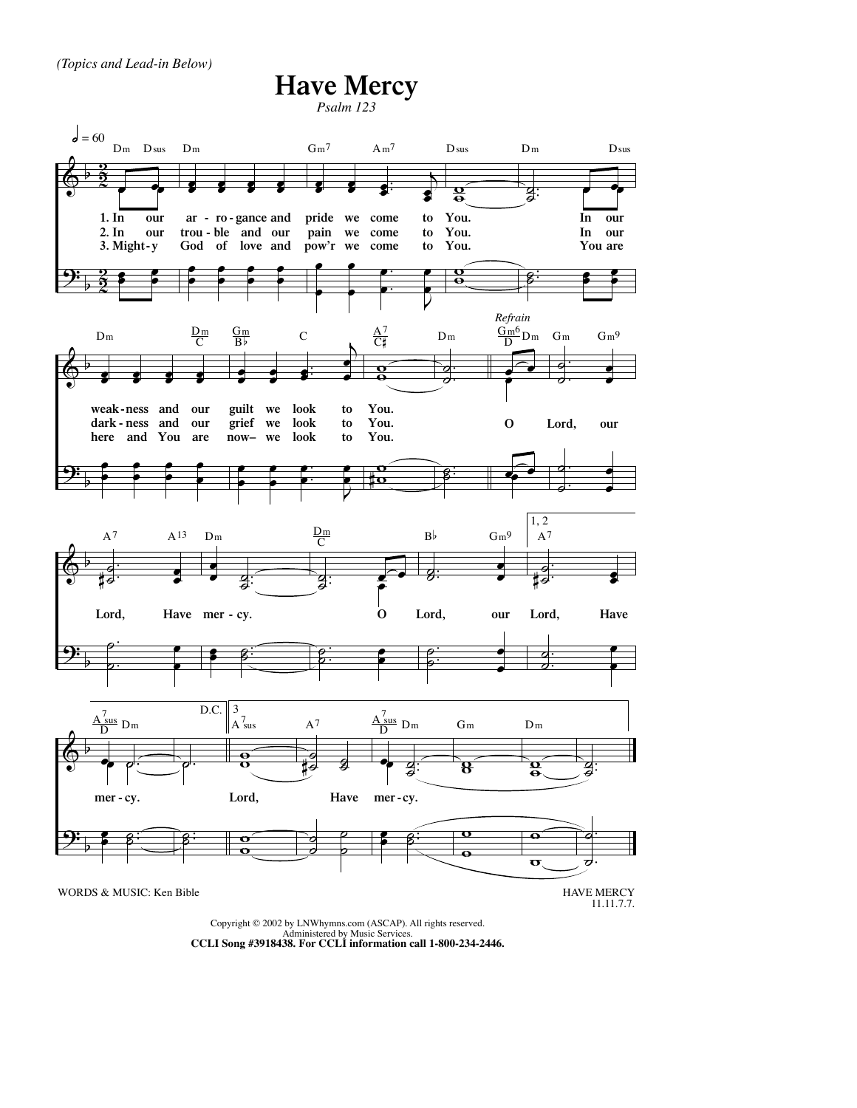*(Topics and Lead-in Below)*

## **Have Mercy**